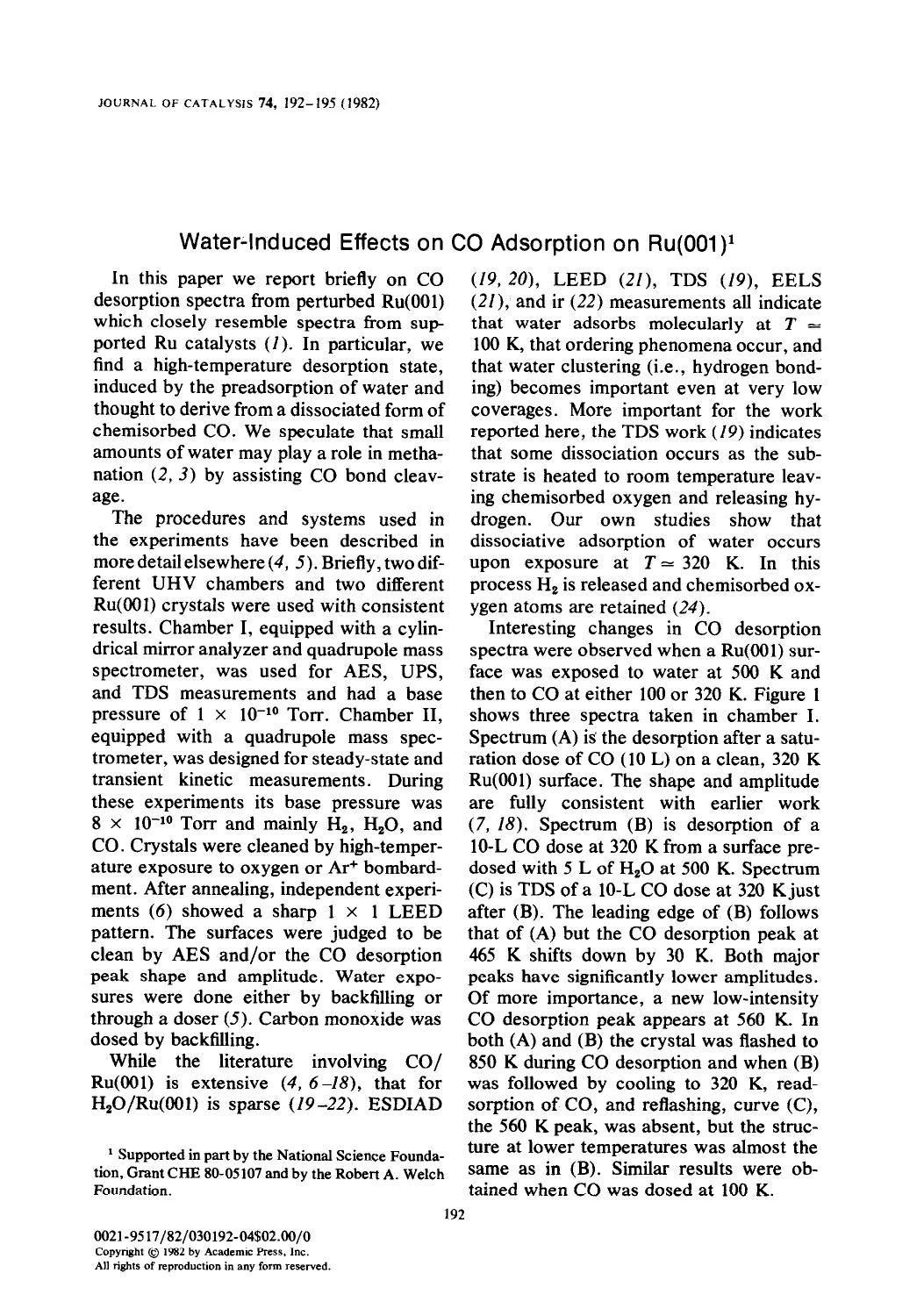## Water-Induced Effects on CO Adsorption on Ru(001)<sup>1</sup>

In this paper we report briefly on CO desorption spectra from perturbed Ru(001) which closely resemble spectra from supported Ru catalysts (1). In particular, we find a high-temperature desorption state, induced by the preadsorption of water and thought to derive from a dissociated form of chemisorbed CO. We speculate that small amounts of water may play a role in methanation  $(2, 3)$  by assisting CO bond cleavage.

The procedures and systems used in the experiments have been described in more detail elsewhere (4, 5). Briefly, two different UHV chambers and two different Ru(OO1) crystals were used with consistent results. Chamber I, equipped with a cylindrical mirror analyzer and quadrupole mass spectrometer, was used for AES, UPS, and TDS measurements and had a base pressure of  $1 \times 10^{-10}$  Torr. Chamber II. equipped with a quadrupole mass spectrometer, was designed for steady-state and transient kinetic measurements. During these experiments its base pressure was  $8 \times 10^{-10}$  Torr and mainly H<sub>2</sub>, H<sub>2</sub>O, and CO. Crystals were cleaned by high-temperature exposure to oxygen or Ar+ bombardment. After annealing, independent experiments (6) showed a sharp  $1 \times 1$  LEED pattern. The surfaces were judged to be clean by AES and/or the CO desorption peak shape and amplitude. Water exposures were done either by backfilling or through a doser (5). Carbon monoxide was dosed by backfilling.

While the literature involving CO/ Ru(001) is extensive  $(4, 6-18)$ , that for  $H<sub>2</sub>O/Ru(001)$  is sparse (19-22). ESDIAD

(19, 20), LEED (21), TDS (19), EELS (21), and ir (22) measurements all indicate that water adsorbs molecularly at  $T \approx$ 100 K, that ordering phenomena occur, and that water clustering (i.e., hydrogen bonding) becomes important even at very low coverages. More important for the work reported here, the TDS work (19) indicates that some dissociation occurs as the substrate is heated to room temperature leaving chemisorbed oxygen and releasing hydrogen. Our own studies show that dissociative adsorption of water occurs upon exposure at  $T \approx 320$  K. In this process  $H_2$  is released and chemisorbed oxygen atoms are retained (24).

Interesting changes in CO desorption spectra were observed when a Ru(OO1) surface was exposed to water at 500 K and then to CO at either 100 or 320 K. Figure 1 shows three spectra taken in chamber I. Spectrum (A) is the desorption after a saturation dose of CO (10 L) on a clean, 320 K Ru(001) surface. The shape and amplitude are fully consistent with earlier work  $(7, 18)$ . Spectrum  $(B)$  is desorption of a 10-L CO dose at 320 K from a surface predosed with 5 L of  $H_2O$  at 500 K. Spectrum (C) is TDS of a 10-L CO dose at 320 Kjust after (B). The leading edge of (B) follows that of (A) but the CO desorption peak at 465 K shifts down by 30 K. Both major peaks have significantly lower amplitudes. Of more importance, a new low-intensity CO desorption peak appears at 560 K. In both (A) and (B) the crystal was flashed to 850 K during CO desorption and when (B) was followed by cooling to 320 K, readsorption of CO, and reflashing, curve (C), the 560 K peak, was absent, but the structure at lower temperatures was almost the same as in (B). Similar results were obtained when CO was dosed at 100 K.

<sup>&</sup>lt;sup>1</sup> Supported in part by the National Science Foundation, Grant CHE 80-05107 and by the Robert A. Welch Foundation.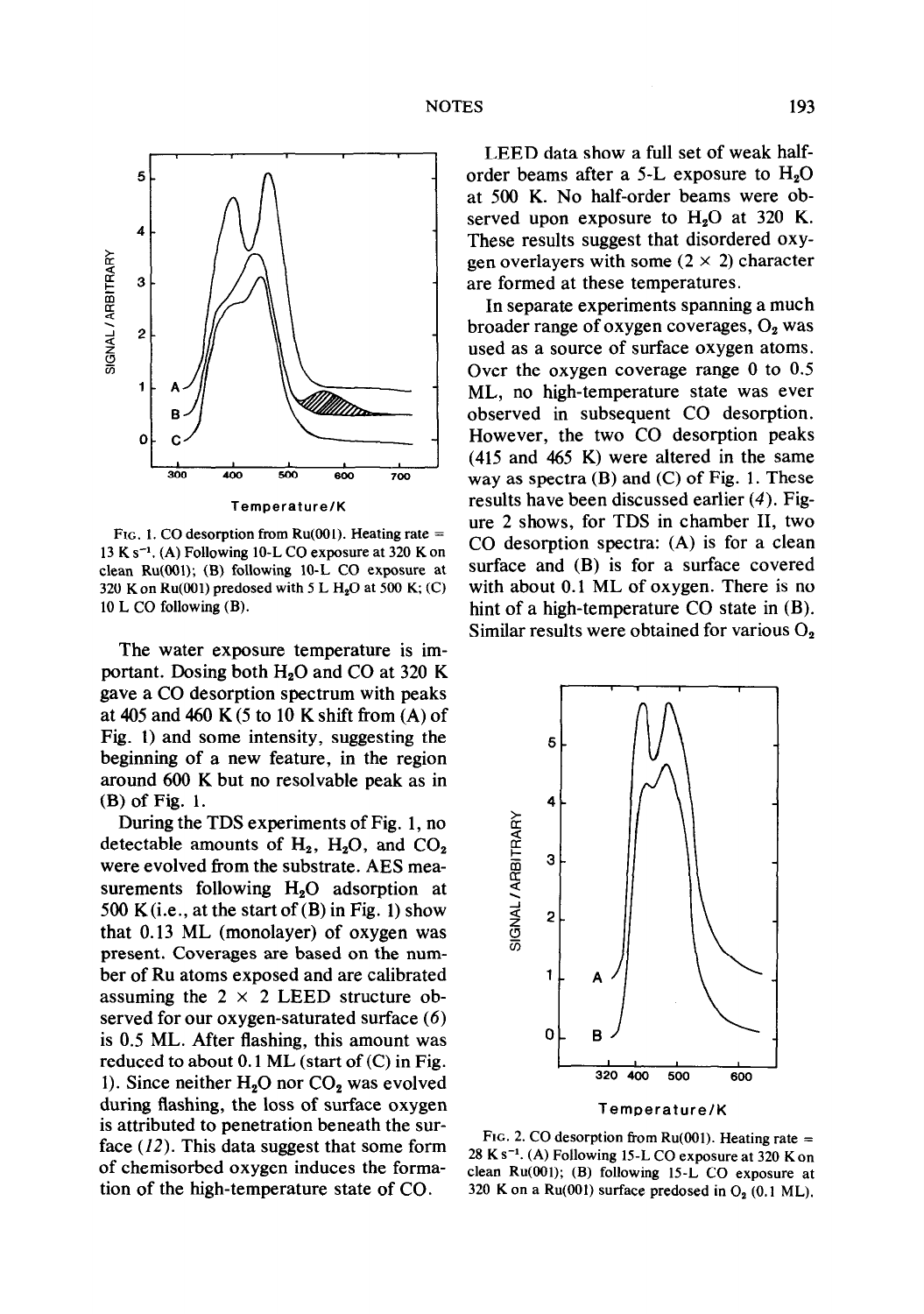

FIG. 1. CO desorption from  $Ru(001)$ . Heating rate = 13 K  $s^{-1}$ . (A) Following 10-L CO exposure at 320 K on clean Ru(OO1); (B) following 10-L CO exposure at 320 K on Ru(001) predosed with 5 L H<sub>2</sub>O at 500 K; (C) 10 L CO following (B).

The water exposure temperature is important. Dosing both  $H<sub>2</sub>O$  and CO at 320 K gave a CO desorption spectrum with peaks at 405 and 460 K (5 to 10 K shift from (A) of Fig. 1) and some intensity, suggesting the beginning of a new feature, in the region around 600 K but no resolvable peak as in (B) of Fig. 1.

During the TDS experiments of Fig. 1, no detectable amounts of  $H_2$ ,  $H_2O$ , and  $CO_2$ were evolved from the substrate. AES measurements following H<sub>2</sub>O adsorption at 500 K(i.e., at the start of  $(B)$  in Fig. 1) show that 0.13 ML (monolayer) of oxygen was present. Coverages are based on the number of Ru atoms exposed and are calibrated assuming the  $2 \times 2$  LEED structure observed for our oxygen-saturated surface (6) is 0.5 ML. After flashing, this amount was reduced to about  $0.1$  ML (start of  $(C)$  in Fig. 1). Since neither  $H_2O$  nor  $CO_2$  was evolved during flashing, the loss of surface oxygen is attributed to penetration beneath the surface  $(12)$ . This data suggest that some form of chemisorbed oxygen induces the formation of the high-temperature state of CO.

LEED data show a full set of weak halforder beams after a 5-L exposure to  $H_2O$ at 500 K. No half-order beams were observed upon exposure to  $H<sub>2</sub>O$  at 320 K. These results suggest that disordered oxygen overlayers with some  $(2 \times 2)$  character are formed at these temperatures.

In separate experiments spanning a much broader range of oxygen coverages,  $O_2$  was used as a source of surface oxygen atoms. Over the oxygen coverage range 0 to 0.5 ML, no high-temperature state was ever observed in subsequent CO desorption. However, the two CO desorption peaks (415 and 465 K) were altered in the same way as spectra  $(B)$  and  $(C)$  of Fig. 1. These results have been discussed earlier (4). Figure 2 shows, for TDS in chamber II, two CO desorption spectra: (A) is for a clean surface and (B) is for a surface covered with about 0.1 ML of oxygen. There is no hint of a high-temperature CO state in (B). Similar results were obtained for various  $O_2$ 



FIG. 2. CO desorption from Ru(001). Heating rate  $=$  $28$  K s<sup>-1</sup>. (A) Following 15-L CO exposure at 320 K on clean Ru(OO1); (B) following 15-L CO exposure at 320 K on a  $Ru(001)$  surface predosed in  $O<sub>2</sub>$  (0.1 ML).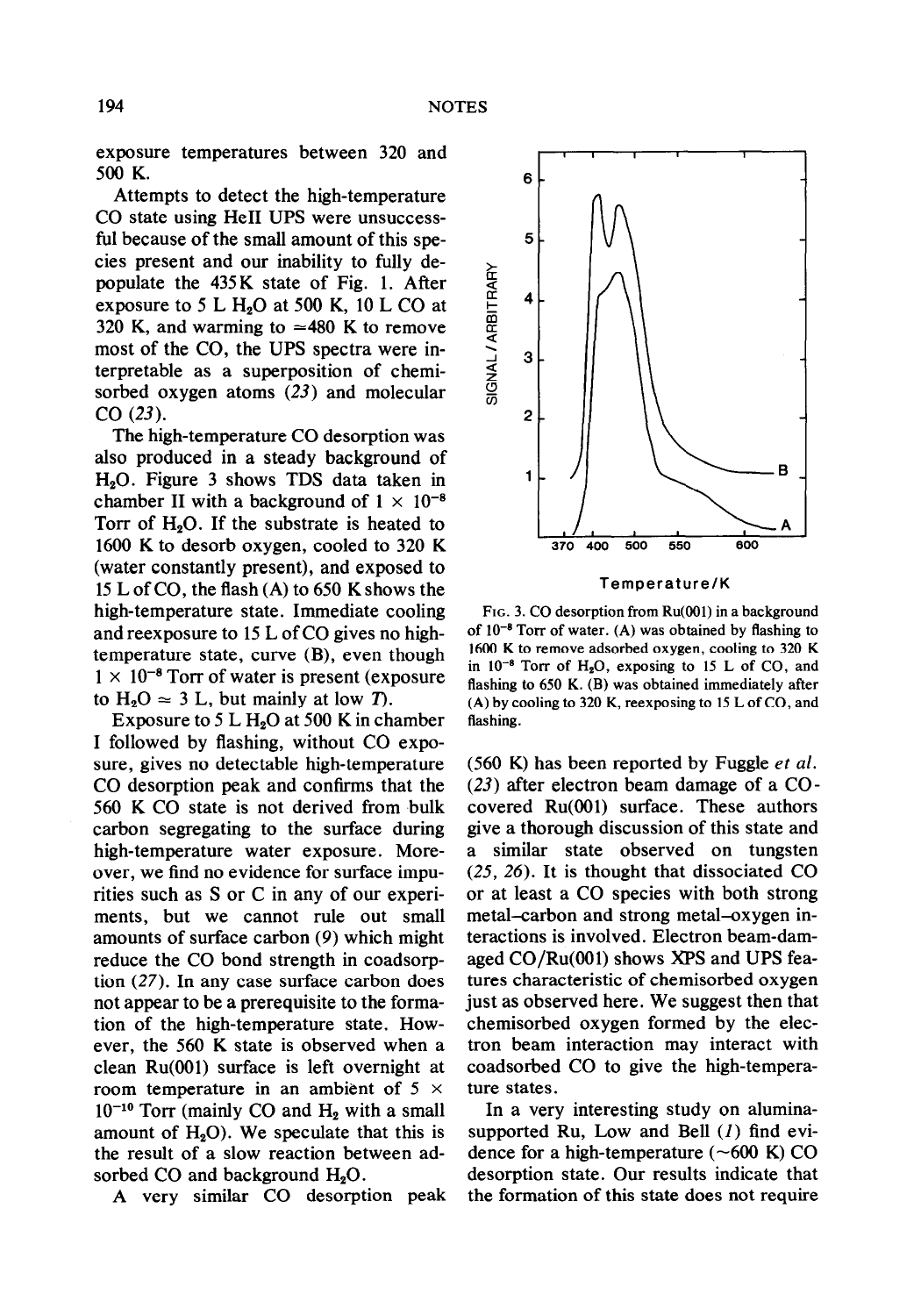exposure temperatures between 320 and 500 K.

Attempts to detect the high-temperature CO state using He11 UPS were unsuccessful because of the small amount of this species present and our inability to fully depopulate the 435 K state of Fig. 1. After exposure to 5 L  $H<sub>2</sub>O$  at 500 K, 10 L CO at 320 K, and warming to  $\approx$ 480 K to remove most of the CO, the UPS spectra were interpretable as a superposition of chemisorbed oxygen atoms (23) and molecular CO (23).

The high-temperature CO desorption was also produced in a steady background of H20. Figure 3 shows TDS data taken in chamber II with a background of  $1 \times 10^{-8}$ Torr of  $H_2O$ . If the substrate is heated to 1600 K to desorb oxygen, cooled to 320 K (water constantly present), and exposed to 15 L of CO, the flash (A) to 650 K shows the high-temperature state. Immediate cooling and reexposure to 15 L of CO gives no hightemperature state, curve (B), even though  $1 \times 10^{-8}$  Torr of water is present (exposure to  $H_2O \approx 3$  L, but mainly at low T.

Exposure to 5 L  $H_2O$  at 500 K in chamber I followed by flashing, without CO exposure, gives no detectable high-temperature CO desorption peak and confirms that the 560 K CO state is not derived from bulk carbon segregating to the surface during high-temperature water exposure. Moreover, we find no evidence for surface impurities such as S or C in any of our experiments, but we cannot rule out small amounts of surface carbon (9) which might reduce the CO bond strength in coadsorption (27). In any case surface carbon does not appear to be a prerequisite to the formation of the high-temperature state. However, the 560 K state is observed when a clean Ru(001) surface is left overnight at room temperature in an ambient of  $5 \times$  $10^{-10}$  Torr (mainly CO and H<sub>2</sub> with a small amount of  $H_2O$ ). We speculate that this is the result of a slow reaction between adsorbed CO and background  $H_2O$ .

A very similar CO desorption peak



Temperature/K

F<sub>IG</sub>. 3. CO desorption from Ru(001) in a background of  $10^{-8}$  Torr of water. (A) was obtained by flashing to 1600 K to remove adsorbed oxygen, cooling to 320 K in  $10^{-8}$  Torr of H<sub>2</sub>O, exposing to 15 L of CO, and flashing to 650 K. (B) was obtained immediately after (A) by cooling to 320 K, reexposing to 15 L of CO, and flashing.

 $(560)$  K) has been reported by Fuggle et al. (23) after electron beam damage of a COcovered Ru(OO1) surface. These authors give a thorough discussion of this state and a similar state observed on tungsten (25, 26). It is thought that dissociated CO or at least a CO species with both strong metal-carbon and strong metal-oxygen interactions is involved. Electron beam-damaged CO/Ru(OOl) shows XPS and UPS features characteristic of chemisorbed oxygen just as observed here. We suggest then that chemisorbed oxygen formed by the electron beam interaction may interact with coadsorbed CO to give the high-temperature states.

In a very interesting study on aluminasupported Ru, Low and Bell  $(I)$  find evidence for a high-temperature  $(\sim 600 \text{ K})$  CO desorption state. Our results indicate that the formation of this state does not require